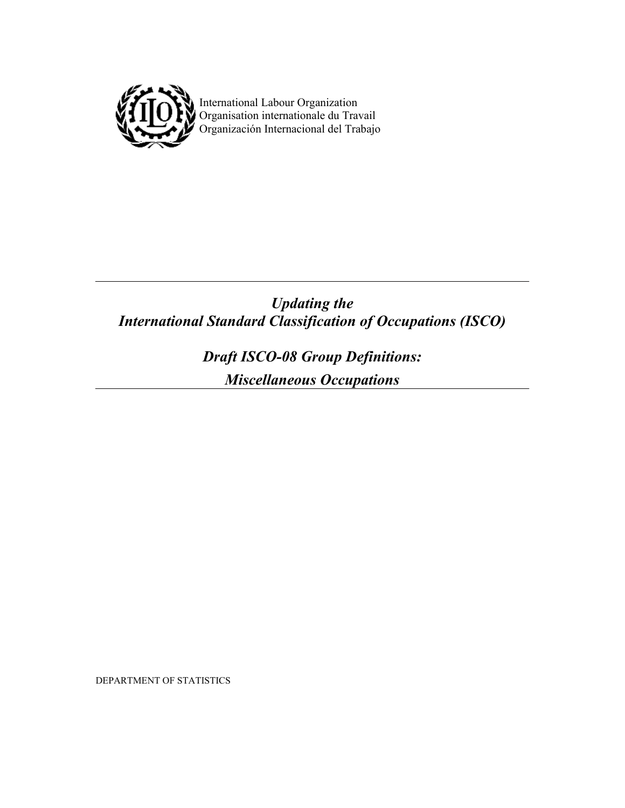

 $\mathbf{I}$   $\mathbf{I}$   $\mathbf{I}$  International Labour Organization **VIIIUI** Organisation internationale du Travail Organización Internacional del Trabajo

# *Updating the International Standard Classification of Occupations (ISCO)*

*Draft ISCO-08 Group Definitions: Miscellaneous Occupations* 

DEPARTMENT OF STATISTICS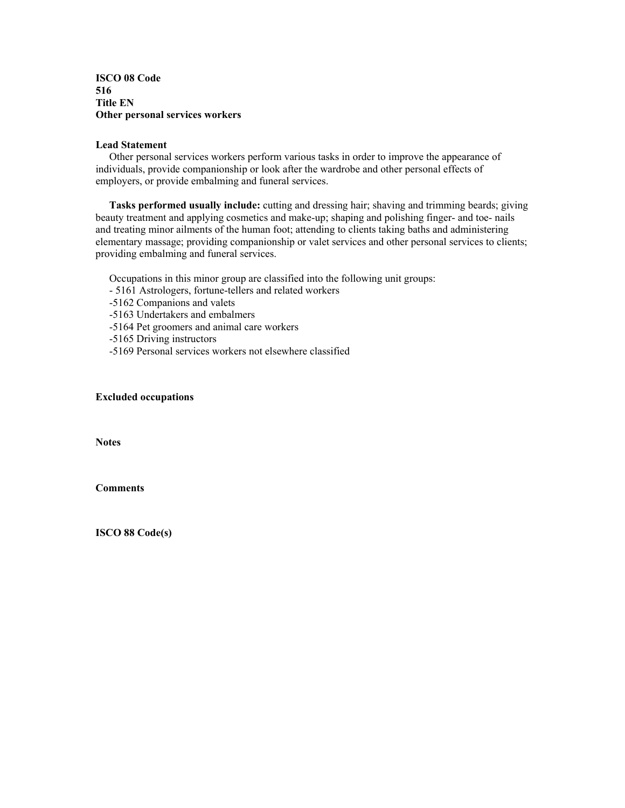**ISCO 08 Code 516 Title EN Other personal services workers** 

#### **Lead Statement**

 Other personal services workers perform various tasks in order to improve the appearance of individuals, provide companionship or look after the wardrobe and other personal effects of employers, or provide embalming and funeral services.

**Tasks performed usually include:** cutting and dressing hair; shaving and trimming beards; giving beauty treatment and applying cosmetics and make-up; shaping and polishing finger- and toe- nails and treating minor ailments of the human foot; attending to clients taking baths and administering elementary massage; providing companionship or valet services and other personal services to clients; providing embalming and funeral services.

Occupations in this minor group are classified into the following unit groups:

- 5161 Astrologers, fortune-tellers and related workers

-5162 Companions and valets

-5163 Undertakers and embalmers

-5164 Pet groomers and animal care workers

-5165 Driving instructors

-5169 Personal services workers not elsewhere classified

## **Excluded occupations**

**Notes** 

**Comments**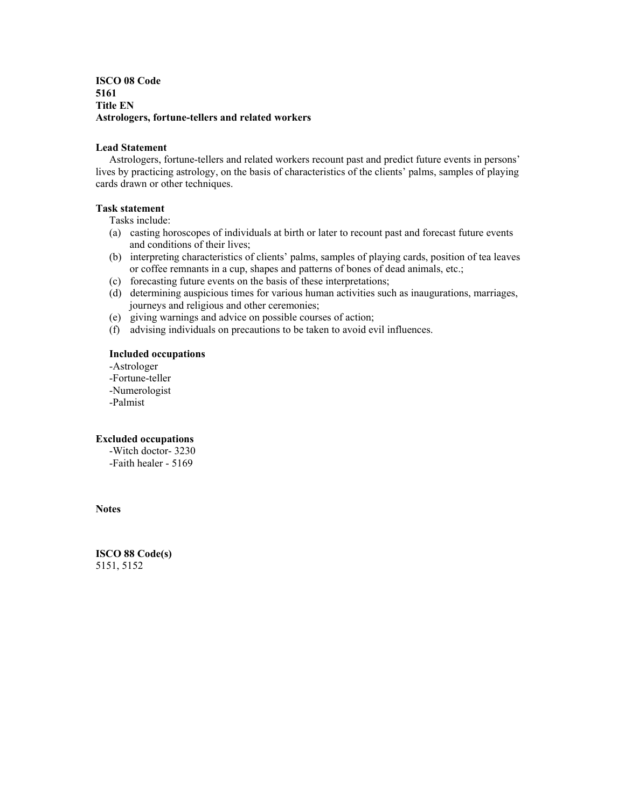# **ISCO 08 Code 5161 Title EN Astrologers, fortune-tellers and related workers**

## **Lead Statement**

 Astrologers, fortune-tellers and related workers recount past and predict future events in persons' lives by practicing astrology, on the basis of characteristics of the clients' palms, samples of playing cards drawn or other techniques.

# **Task statement**

Tasks include:

- (a) casting horoscopes of individuals at birth or later to recount past and forecast future events and conditions of their lives;
- (b) interpreting characteristics of clients' palms, samples of playing cards, position of tea leaves or coffee remnants in a cup, shapes and patterns of bones of dead animals, etc.;
- (c) forecasting future events on the basis of these interpretations;
- (d) determining auspicious times for various human activities such as inaugurations, marriages, journeys and religious and other ceremonies;
- (e) giving warnings and advice on possible courses of action;
- (f) advising individuals on precautions to be taken to avoid evil influences.

# **Included occupations**

 -Astrologer -Fortune-teller -Numerologist -Palmist

# **Excluded occupations**

 -Witch doctor- 3230 -Faith healer - 5169

## **Notes**

**ISCO 88 Code(s)**  5151, 5152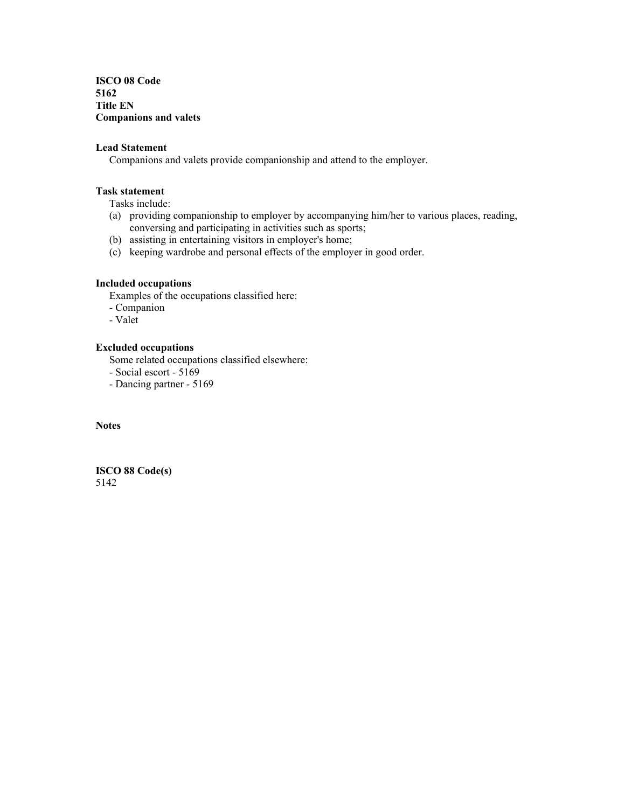**ISCO 08 Code 5162 Title EN Companions and valets** 

# **Lead Statement**

Companions and valets provide companionship and attend to the employer.

# **Task statement**

Tasks include:

- (a) providing companionship to employer by accompanying him/her to various places, reading, conversing and participating in activities such as sports;
- (b) assisting in entertaining visitors in employer's home;
- (c) keeping wardrobe and personal effects of the employer in good order.

#### **Included occupations**

Examples of the occupations classified here:

- Companion
- Valet

# **Excluded occupations**

Some related occupations classified elsewhere:

- Social escort - 5169

- Dancing partner - 5169

**Notes**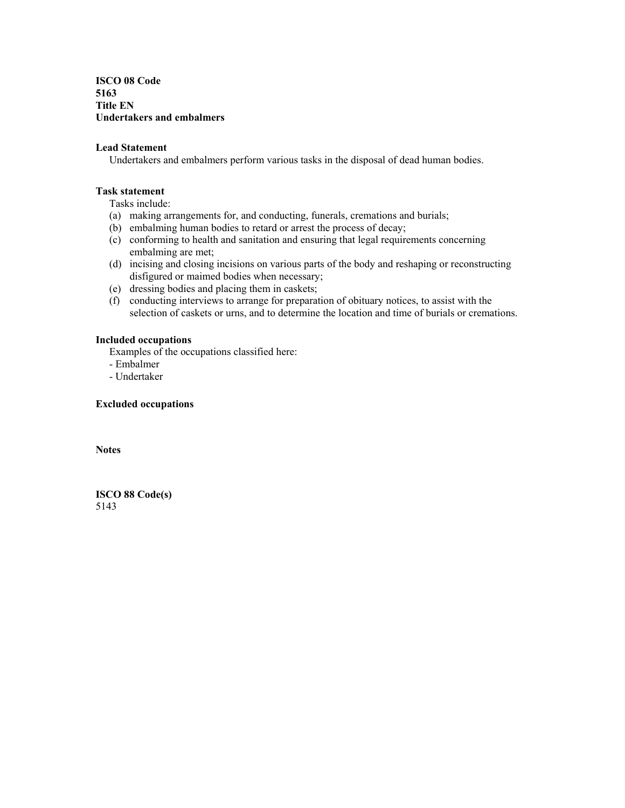**ISCO 08 Code 5163 Title EN Undertakers and embalmers** 

## **Lead Statement**

Undertakers and embalmers perform various tasks in the disposal of dead human bodies.

#### **Task statement**

Tasks include:

- (a) making arrangements for, and conducting, funerals, cremations and burials;
- (b) embalming human bodies to retard or arrest the process of decay;
- (c) conforming to health and sanitation and ensuring that legal requirements concerning embalming are met;
- (d) incising and closing incisions on various parts of the body and reshaping or reconstructing disfigured or maimed bodies when necessary;
- (e) dressing bodies and placing them in caskets;
- (f) conducting interviews to arrange for preparation of obituary notices, to assist with the selection of caskets or urns, and to determine the location and time of burials or cremations.

#### **Included occupations**

Examples of the occupations classified here:

- Embalmer
- Undertaker

#### **Excluded occupations**

**Notes**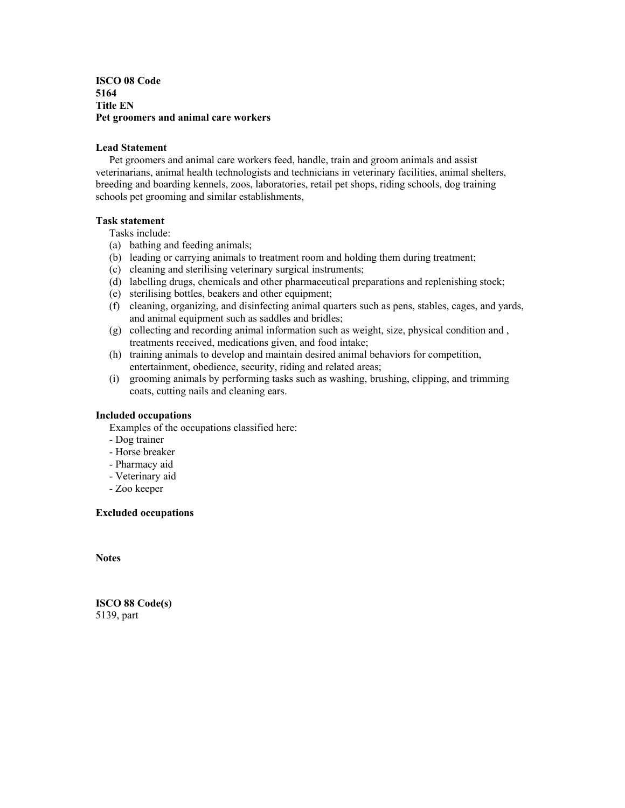## **ISCO 08 Code 5164 Title EN Pet groomers and animal care workers**

#### **Lead Statement**

 Pet groomers and animal care workers feed, handle, train and groom animals and assist veterinarians, animal health technologists and technicians in veterinary facilities, animal shelters, breeding and boarding kennels, zoos, laboratories, retail pet shops, riding schools, dog training schools pet grooming and similar establishments,

## **Task statement**

Tasks include:

- (a) bathing and feeding animals;
- (b) leading or carrying animals to treatment room and holding them during treatment;
- (c) cleaning and sterilising veterinary surgical instruments;
- (d) labelling drugs, chemicals and other pharmaceutical preparations and replenishing stock;
- (e) sterilising bottles, beakers and other equipment;
- (f) cleaning, organizing, and disinfecting animal quarters such as pens, stables, cages, and yards, and animal equipment such as saddles and bridles;
- (g) collecting and recording animal information such as weight, size, physical condition and , treatments received, medications given, and food intake;
- (h) training animals to develop and maintain desired animal behaviors for competition, entertainment, obedience, security, riding and related areas;
- (i) grooming animals by performing tasks such as washing, brushing, clipping, and trimming coats, cutting nails and cleaning ears.

## **Included occupations**

Examples of the occupations classified here:

- Dog trainer
- Horse breaker
- Pharmacy aid
- Veterinary aid
- Zoo keeper

#### **Excluded occupations**

**Notes** 

**ISCO 88 Code(s)**  5139, part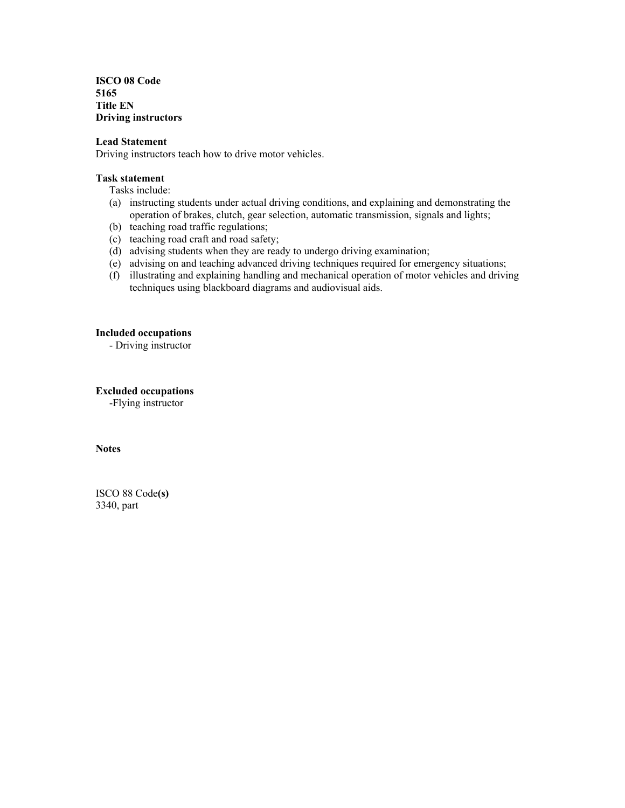**ISCO 08 Code 5165 Title EN Driving instructors** 

#### **Lead Statement**

Driving instructors teach how to drive motor vehicles.

#### **Task statement**

Tasks include:

- (a) instructing students under actual driving conditions, and explaining and demonstrating the operation of brakes, clutch, gear selection, automatic transmission, signals and lights;
- (b) teaching road traffic regulations;
- (c) teaching road craft and road safety;
- (d) advising students when they are ready to undergo driving examination;
- (e) advising on and teaching advanced driving techniques required for emergency situations;
- (f) illustrating and explaining handling and mechanical operation of motor vehicles and driving techniques using blackboard diagrams and audiovisual aids.

## **Included occupations**

- Driving instructor

## **Excluded occupations**

-Flying instructor

**Notes** 

ISCO 88 Code**(s)**  3340, part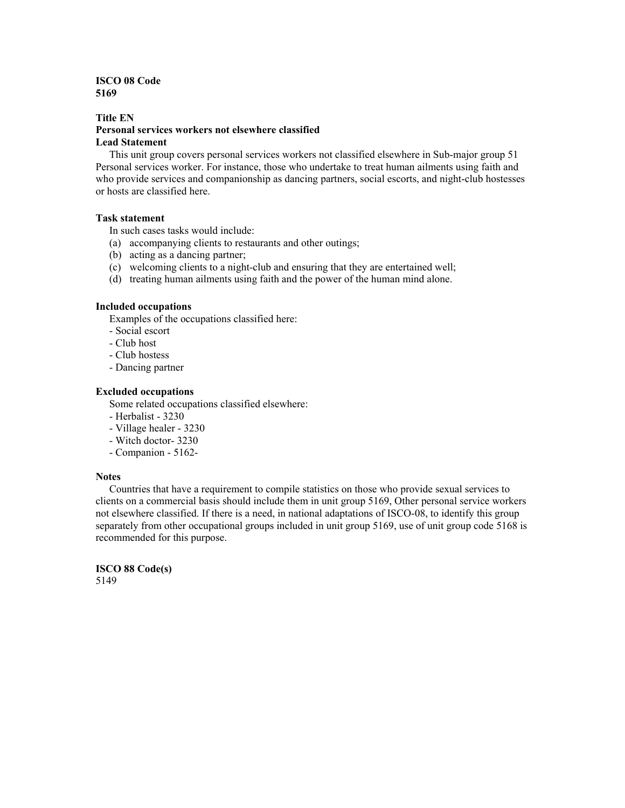# **ISCO 08 Code 5169**

#### **Title EN Personal services workers not elsewhere classified Lead Statement**

 This unit group covers personal services workers not classified elsewhere in Sub-major group 51 Personal services worker. For instance, those who undertake to treat human ailments using faith and who provide services and companionship as dancing partners, social escorts, and night-club hostesses or hosts are classified here.

## **Task statement**

In such cases tasks would include:

- (a) accompanying clients to restaurants and other outings;
- (b) acting as a dancing partner;
- (c) welcoming clients to a night-club and ensuring that they are entertained well;
- (d) treating human ailments using faith and the power of the human mind alone.

#### **Included occupations**

Examples of the occupations classified here:

- Social escort
- Club host
- Club hostess
- Dancing partner

#### **Excluded occupations**

Some related occupations classified elsewhere:

- Herbalist 3230
- Village healer 3230
- Witch doctor- 3230
- Companion 5162-

#### **Notes**

 Countries that have a requirement to compile statistics on those who provide sexual services to clients on a commercial basis should include them in unit group 5169, Other personal service workers not elsewhere classified. If there is a need, in national adaptations of ISCO-08, to identify this group separately from other occupational groups included in unit group 5169, use of unit group code 5168 is recommended for this purpose.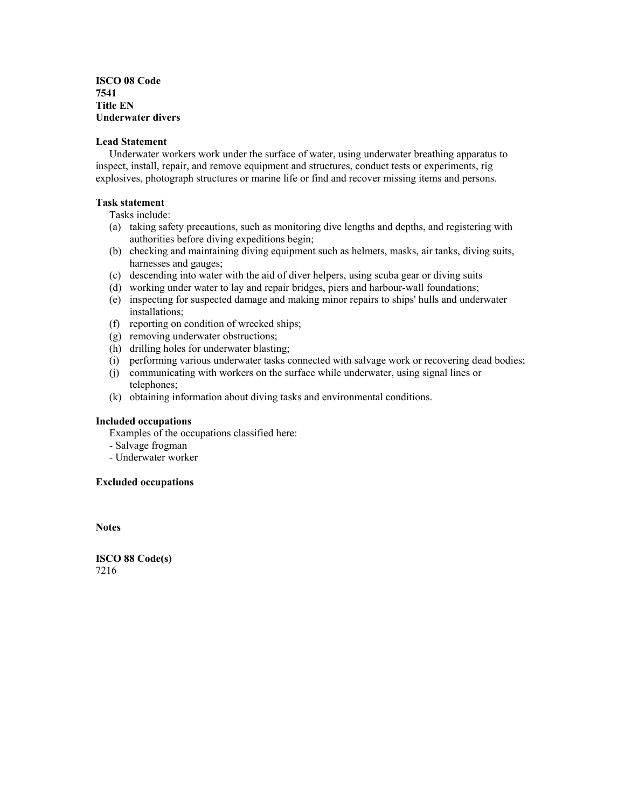**ISCO 08 Code 7541 Title EN Underwater divers** 

#### **Lead Statement**

 Underwater workers work under the surface of water, using underwater breathing apparatus to inspect, install, repair, and remove equipment and structures, conduct tests or experiments, rig explosives, photograph structures or marine life or find and recover missing items and persons.

#### **Task statement**

Tasks include:

- (a) taking safety precautions, such as monitoring dive lengths and depths, and registering with authorities before diving expeditions begin;
- (b) checking and maintaining diving equipment such as helmets, masks, air tanks, diving suits, harnesses and gauges;
- (c) descending into water with the aid of diver helpers, using scuba gear or diving suits
- (d) working under water to lay and repair bridges, piers and harbour-wall foundations;
- (e) inspecting for suspected damage and making minor repairs to ships' hulls and underwater installations;
- (f) reporting on condition of wrecked ships;
- (g) removing underwater obstructions;
- (h) drilling holes for underwater blasting;
- (i) performing various underwater tasks connected with salvage work or recovering dead bodies;
- (j) communicating with workers on the surface while underwater, using signal lines or telephones;
- (k) obtaining information about diving tasks and environmental conditions.

#### **Included occupations**

Examples of the occupations classified here:

- Salvage frogman
- Underwater worker

#### **Excluded occupations**

**Notes**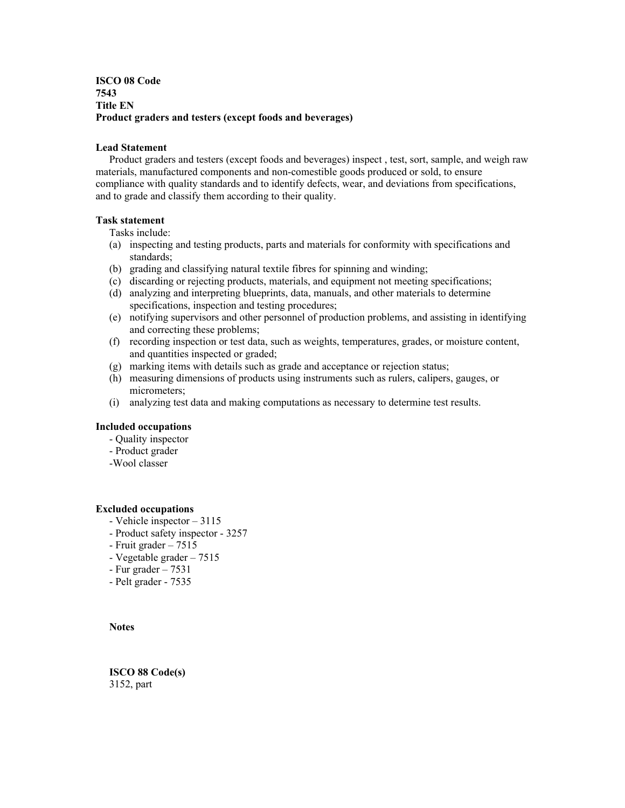# **ISCO 08 Code 7543 Title EN Product graders and testers (except foods and beverages)**

#### **Lead Statement**

 Product graders and testers (except foods and beverages) inspect , test, sort, sample, and weigh raw materials, manufactured components and non-comestible goods produced or sold, to ensure compliance with quality standards and to identify defects, wear, and deviations from specifications, and to grade and classify them according to their quality.

#### **Task statement**

Tasks include:

- (a) inspecting and testing products, parts and materials for conformity with specifications and standards;
- (b) grading and classifying natural textile fibres for spinning and winding;
- (c) discarding or rejecting products, materials, and equipment not meeting specifications; (d) analyzing and interpreting blueprints, data, manuals, and other materials to determine
- specifications, inspection and testing procedures;
- (e) notifying supervisors and other personnel of production problems, and assisting in identifying and correcting these problems;
- (f) recording inspection or test data, such as weights, temperatures, grades, or moisture content, and quantities inspected or graded;
- (g) marking items with details such as grade and acceptance or rejection status;
- (h) measuring dimensions of products using instruments such as rulers, calipers, gauges, or micrometers;
- (i) analyzing test data and making computations as necessary to determine test results.

## **Included occupations**

- Quality inspector
- Product grader
- -Wool classer

#### **Excluded occupations**

- Vehicle inspector 3115
- Product safety inspector 3257
- Fruit grader 7515
- Vegetable grader 7515
- $-$  Fur grader  $-7531$
- Pelt grader 7535

**Notes** 

**ISCO 88 Code(s)**  3152, part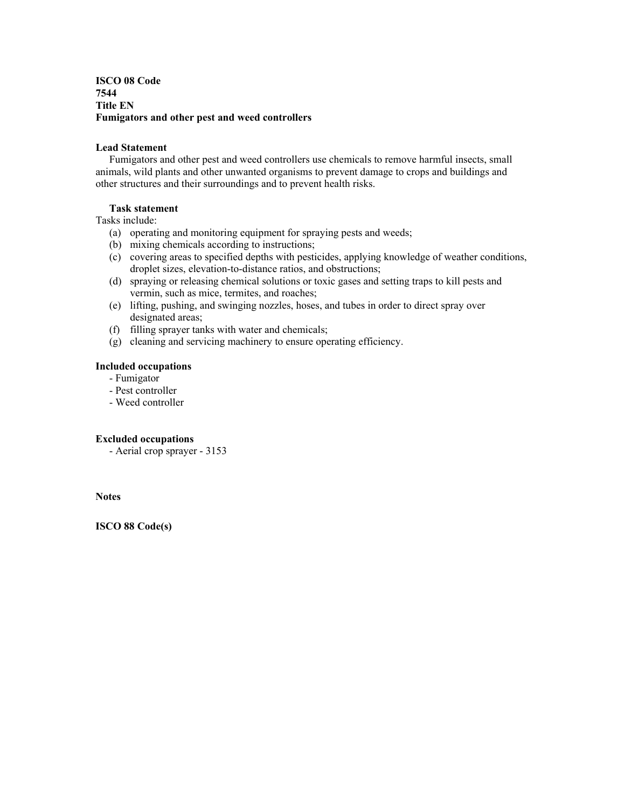**ISCO 08 Code 7544 Title EN Fumigators and other pest and weed controllers** 

## **Lead Statement**

 Fumigators and other pest and weed controllers use chemicals to remove harmful insects, small animals, wild plants and other unwanted organisms to prevent damage to crops and buildings and other structures and their surroundings and to prevent health risks.

# **Task statement**

Tasks include:

- (a) operating and monitoring equipment for spraying pests and weeds;
- (b) mixing chemicals according to instructions;
- (c) covering areas to specified depths with pesticides, applying knowledge of weather conditions, droplet sizes, elevation-to-distance ratios, and obstructions;
- (d) spraying or releasing chemical solutions or toxic gases and setting traps to kill pests and vermin, such as mice, termites, and roaches;
- (e) lifting, pushing, and swinging nozzles, hoses, and tubes in order to direct spray over designated areas;
- (f) filling sprayer tanks with water and chemicals;
- (g) cleaning and servicing machinery to ensure operating efficiency.

## **Included occupations**

- Fumigator
- Pest controller
- Weed controller

## **Excluded occupations**

- Aerial crop sprayer - 3153

**Notes**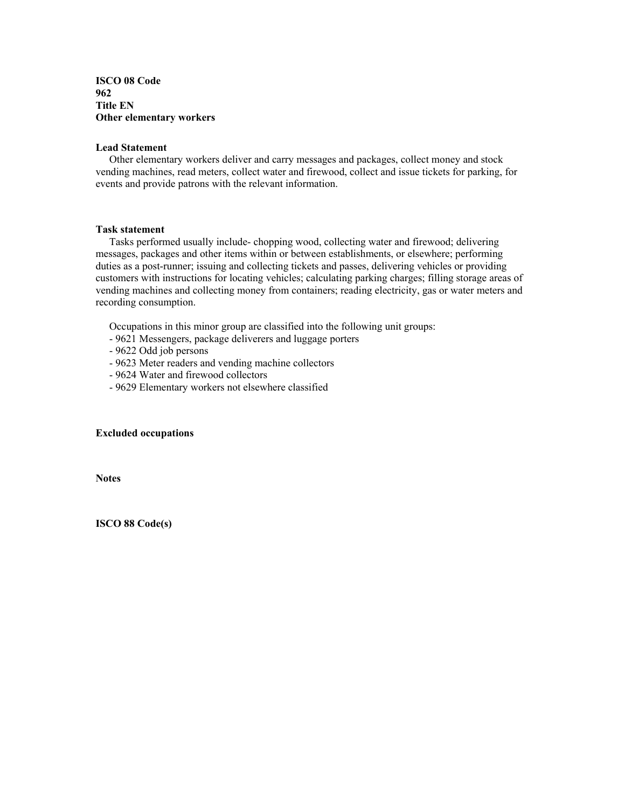## **ISCO 08 Code 962 Title EN Other elementary workers**

#### **Lead Statement**

 Other elementary workers deliver and carry messages and packages, collect money and stock vending machines, read meters, collect water and firewood, collect and issue tickets for parking, for events and provide patrons with the relevant information.

# **Task statement**

 Tasks performed usually include- chopping wood, collecting water and firewood; delivering messages, packages and other items within or between establishments, or elsewhere; performing duties as a post-runner; issuing and collecting tickets and passes, delivering vehicles or providing customers with instructions for locating vehicles; calculating parking charges; filling storage areas of vending machines and collecting money from containers; reading electricity, gas or water meters and recording consumption.

Occupations in this minor group are classified into the following unit groups:

- 9621 Messengers, package deliverers and luggage porters
- 9622 Odd job persons
- 9623 Meter readers and vending machine collectors
- 9624 Water and firewood collectors
- 9629 Elementary workers not elsewhere classified

# **Excluded occupations**

**Notes**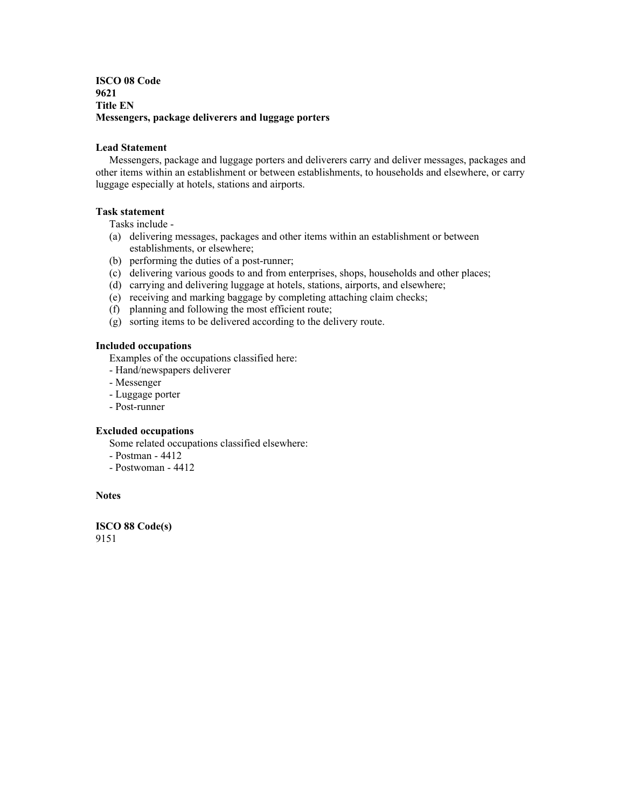# **ISCO 08 Code 9621 Title EN Messengers, package deliverers and luggage porters**

## **Lead Statement**

 Messengers, package and luggage porters and deliverers carry and deliver messages, packages and other items within an establishment or between establishments, to households and elsewhere, or carry luggage especially at hotels, stations and airports.

# **Task statement**

Tasks include -

- (a) delivering messages, packages and other items within an establishment or between establishments, or elsewhere;
- (b) performing the duties of a post-runner;
- (c) delivering various goods to and from enterprises, shops, households and other places;
- (d) carrying and delivering luggage at hotels, stations, airports, and elsewhere;
- (e) receiving and marking baggage by completing attaching claim checks;
- (f) planning and following the most efficient route;
- (g) sorting items to be delivered according to the delivery route.

# **Included occupations**

Examples of the occupations classified here:

- Hand/newspapers deliverer
- Messenger
- Luggage porter
- Post-runner

# **Excluded occupations**

Some related occupations classified elsewhere:

- Postman 4412
- Postwoman 4412

# **Notes**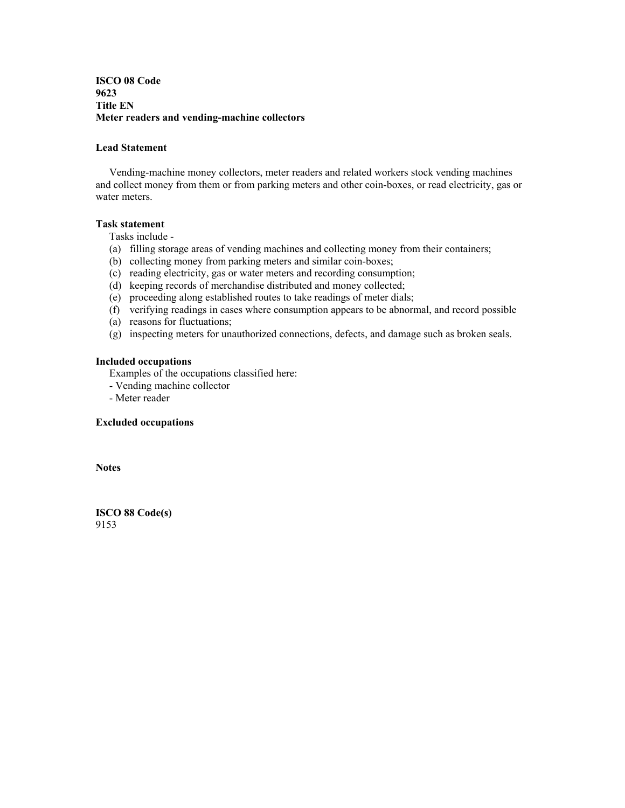**ISCO 08 Code 9623 Title EN Meter readers and vending-machine collectors** 

#### **Lead Statement**

 Vending-machine money collectors, meter readers and related workers stock vending machines and collect money from them or from parking meters and other coin-boxes, or read electricity, gas or water meters.

# **Task statement**

Tasks include -

- (a) filling storage areas of vending machines and collecting money from their containers;
- (b) collecting money from parking meters and similar coin-boxes;
- (c) reading electricity, gas or water meters and recording consumption;
- (d) keeping records of merchandise distributed and money collected;
- (e) proceeding along established routes to take readings of meter dials;
- (f) verifying readings in cases where consumption appears to be abnormal, and record possible
- (a) reasons for fluctuations;
- (g) inspecting meters for unauthorized connections, defects, and damage such as broken seals.

#### **Included occupations**

Examples of the occupations classified here:

- Vending machine collector

- Meter reader

#### **Excluded occupations**

**Notes**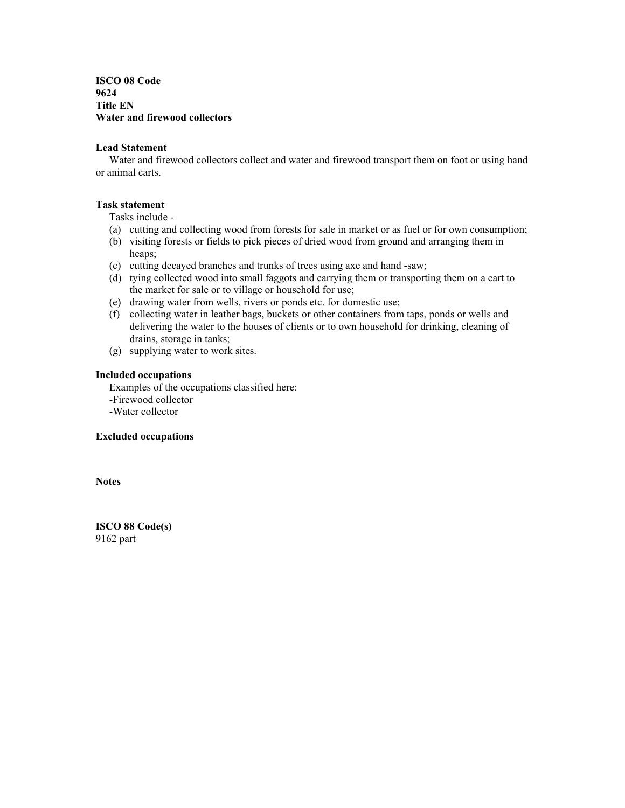**ISCO 08 Code 9624 Title EN Water and firewood collectors** 

#### **Lead Statement**

 Water and firewood collectors collect and water and firewood transport them on foot or using hand or animal carts.

## **Task statement**

Tasks include -

- (a) cutting and collecting wood from forests for sale in market or as fuel or for own consumption;
- (b) visiting forests or fields to pick pieces of dried wood from ground and arranging them in heaps;
- (c) cutting decayed branches and trunks of trees using axe and hand -saw;
- (d) tying collected wood into small faggots and carrying them or transporting them on a cart to the market for sale or to village or household for use;
- (e) drawing water from wells, rivers or ponds etc. for domestic use;
- (f) collecting water in leather bags, buckets or other containers from taps, ponds or wells and delivering the water to the houses of clients or to own household for drinking, cleaning of drains, storage in tanks;
- (g) supplying water to work sites.

# **Included occupations**

 Examples of the occupations classified here: -Firewood collector -Water collector

#### **Excluded occupations**

**Notes** 

**ISCO 88 Code(s)**  9162 part